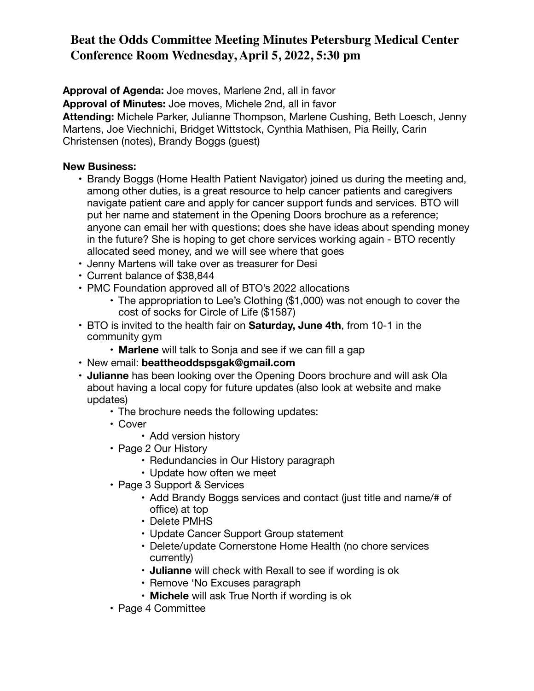## **Beat the Odds Committee Meeting Minutes Petersburg Medical Center Conference Room Wednesday, April 5, 2022, 5:30 pm**

**Approval of Agenda:** Joe moves, Marlene 2nd, all in favor **Approval of Minutes:** Joe moves, Michele 2nd, all in favor **Attending:** Michele Parker, Julianne Thompson, Marlene Cushing, Beth Loesch, Jenny Martens, Joe Viechnichi, Bridget Wittstock, Cynthia Mathisen, Pia Reilly, Carin Christensen (notes), Brandy Boggs (guest)

## **New Business:**

- Brandy Boggs (Home Health Patient Navigator) joined us during the meeting and, among other duties, is a great resource to help cancer patients and caregivers navigate patient care and apply for cancer support funds and services. BTO will put her name and statement in the Opening Doors brochure as a reference; anyone can email her with questions; does she have ideas about spending money in the future? She is hoping to get chore services working again - BTO recently allocated seed money, and we will see where that goes
- Jenny Martens will take over as treasurer for Desi
- Current balance of \$38,844
- PMC Foundation approved all of BTO's 2022 allocations
	- The appropriation to Lee's Clothing (\$1,000) was not enough to cover the cost of socks for Circle of Life (\$1587)
- BTO is invited to the health fair on **Saturday, June 4th**, from 10-1 in the community gym
	- **Marlene** will talk to Sonja and see if we can fill a gap
- New email: **beattheoddspsgak@gmail.com**
- **Julianne** has been looking over the Opening Doors brochure and will ask Ola about having a local copy for future updates (also look at website and make updates)
	- The brochure needs the following updates:
	- Cover
		- Add version history
	- Page 2 Our History
		- Redundancies in Our History paragraph
		- Update how often we meet
	- Page 3 Support & Services
		- Add Brandy Boggs services and contact (just title and name/# of office) at top
		- Delete PMHS
		- Update Cancer Support Group statement
		- Delete/update Cornerstone Home Health (no chore services currently)
		- **Julianne** will check with Rexall to see if wording is ok
		- Remove 'No Excuses paragraph
		- **Michele** will ask True North if wording is ok
	- Page 4 Committee